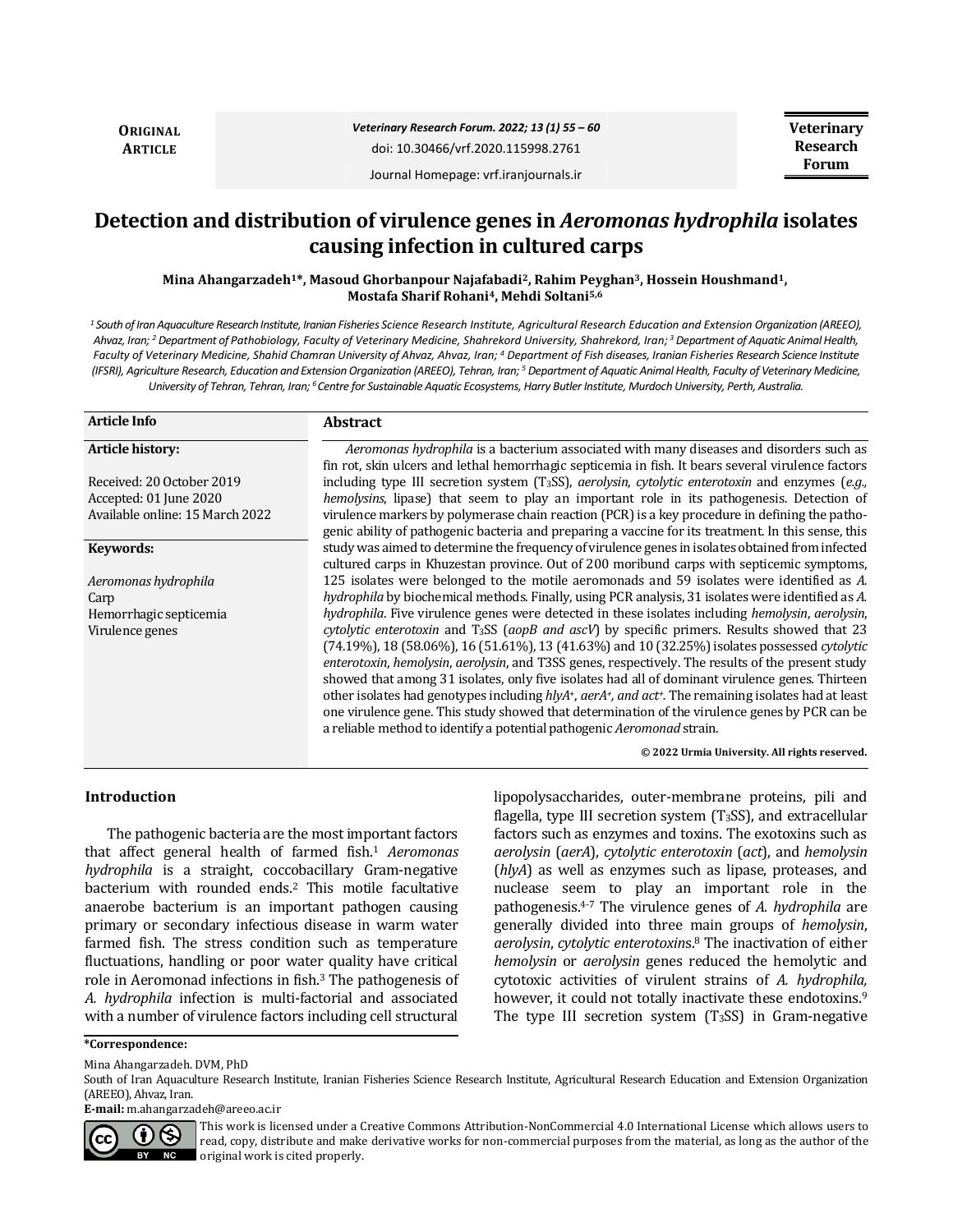**ORIGINAL ARTICLE**

Journal Homepage: vrf.iranjournals.ir

# **Detection and distribution of virulence genes in** *Aeromonas hydrophila* **isolates causing infection in cultured carps**

**Mina Ahangarzadeh1\*, Masoud Ghorbanpour Najafabadi2, Rahim Peyghan3, Hossein Houshmand1, Mostafa Sharif Rohani4, Mehdi Soltani5,6**

*<sup>1</sup> South of Iran Aquaculture Research Institute, Iranian Fisheries Science Research Institute, Agricultural Research Education and Extension Organization (AREEO), Ahvaz, Iran; <sup>2</sup> Department of Pathobiology, Faculty of Veterinary Medicine, Shahrekord University, Shahrekord, Iran; <sup>3</sup> Department of Aquatic Animal Health, Faculty of Veterinary Medicine, Shahid Chamran University of Ahvaz, Ahvaz, Iran; <sup>4</sup> Department of Fish diseases, Iranian Fisheries Research Science Institute (IFSRI), Agriculture Research, Education and ExtensionOrganization (AREEO), Tehran, Iran; <sup>5</sup> Department of Aquatic Animal Health, Faculty of Veterinary Medicine, University of Tehran, Tehran, Iran; <sup>6</sup>Centre for Sustainable Aquatic Ecosystems, Harry Butler Institute, Murdoch University, Perth, Australia.*

| <b>Article Info</b>                                 | <b>Abstract</b>                                                                                                                                                                                                                                                                                                                                                                                                                                                                                                                                                                                                        |
|-----------------------------------------------------|------------------------------------------------------------------------------------------------------------------------------------------------------------------------------------------------------------------------------------------------------------------------------------------------------------------------------------------------------------------------------------------------------------------------------------------------------------------------------------------------------------------------------------------------------------------------------------------------------------------------|
| Article history:                                    | Aeromonas hydrophila is a bacterium associated with many diseases and disorders such as                                                                                                                                                                                                                                                                                                                                                                                                                                                                                                                                |
| Received: 20 October 2019<br>Accepted: 01 June 2020 | fin rot, skin ulcers and lethal hemorrhagic septicemia in fish. It bears several virulence factors<br>including type III secretion system (T <sub>3</sub> SS), <i>aerolysin</i> , <i>cytolytic enterotoxin</i> and enzymes ( <i>e.g.</i> ,<br>hemolysins, lipase) that seem to play an important role in its pathogenesis. Detection of                                                                                                                                                                                                                                                                                |
| Available online: 15 March 2022                     | virulence markers by polymerase chain reaction (PCR) is a key procedure in defining the patho-                                                                                                                                                                                                                                                                                                                                                                                                                                                                                                                         |
|                                                     | genic ability of pathogenic bacteria and preparing a vaccine for its treatment. In this sense, this                                                                                                                                                                                                                                                                                                                                                                                                                                                                                                                    |
| Keywords:                                           | study was aimed to determine the frequency of virulence genes in isolates obtained from infected<br>cultured carps in Khuzestan province. Out of 200 moribund carps with septicemic symptoms,                                                                                                                                                                                                                                                                                                                                                                                                                          |
| Aeromonas hydrophila                                | 125 isolates were belonged to the motile aeromonads and 59 isolates were identified as A.                                                                                                                                                                                                                                                                                                                                                                                                                                                                                                                              |
| Carp                                                | hydrophila by biochemical methods. Finally, using PCR analysis, 31 isolates were identified as A.                                                                                                                                                                                                                                                                                                                                                                                                                                                                                                                      |
| Hemorrhagic septicemia                              | hydrophila. Five virulence genes were detected in these isolates including hemolysin, aerolysin,                                                                                                                                                                                                                                                                                                                                                                                                                                                                                                                       |
| Virulence genes                                     | cytolytic enterotoxin and T <sub>3</sub> SS (aopB and ascV) by specific primers. Results showed that 23                                                                                                                                                                                                                                                                                                                                                                                                                                                                                                                |
|                                                     | $(74.19\%)$ , 18 (58.06%), 16 (51.61%), 13 (41.63%) and 10 (32.25%) isolates possessed <i>cytolytic</i><br>enterotoxin, hemolysin, aerolysin, and T3SS genes, respectively. The results of the present study<br>showed that among 31 isolates, only five isolates had all of dominant virulence genes. Thirteen<br>other isolates had genotypes including $h/vA^+$ , aer $A^+$ , and act <sup>†</sup> . The remaining isolates had at least<br>one virulence gene. This study showed that determination of the virulence genes by PCR can be<br>a reliable method to identify a potential pathogenic Aeromonad strain. |
|                                                     | © 2022 Urmia University. All rights reserved.                                                                                                                                                                                                                                                                                                                                                                                                                                                                                                                                                                          |

### **Introduction**

The pathogenic bacteria are the most important factors that affect general health of farmed fish.<sup>1</sup> *Aeromonas hydrophila* is a straight, coccobacillary Gram-negative bacterium with rounded ends.<sup>2</sup> This motile facultative anaerobe bacterium is an important pathogen causing primary or secondary infectious disease in warm water farmed fish. The stress condition such as temperature fluctuations, handling or poor water quality have critical role in Aeromonad infections in fish.<sup>3</sup> The pathogenesis of *A. hydrophila* infection is multi-factorial and associated with a number of virulence factors including cell structural lipopolysaccharides, outer-membrane proteins, pili and flagella, type III secretion system  $(T<sub>3</sub>SS)$ , and extracellular factors such as enzymes and toxins. The exotoxins such as *aerolysin* (*aerA*), *cytolytic enterotoxin* (*act*), and *hemolysin*  (*hlyA*) as well as enzymes such as lipase, proteases, and nuclease seem to play an important role in the pathogenesis.4-7 The virulence genes of *A. hydrophila* are generally divided into three main groups of *hemolysin*, *aerolysin*, *cytolytic enterotoxin*s.<sup>8</sup> The inactivation of either *hemolysin* or *aerolysin* genes reduced the hemolytic and cytotoxic activities of virulent strains of *A. hydrophila,* however, it could not totally inactivate these endotoxins.<sup>9</sup> The type III secretion system  $(T<sub>3</sub>SS)$  in Gram-negative

**\*Correspondence:**

Mina Ahangarzadeh. DVM, PhD

**E-mail:** m.ahangarzadeh@areeo.ac.ir



This work is licensed under a [Creative Commons Attribution-NonCommercial 4.0 International License](http://creativecommons.org/licenses/by-nc/4.0/) which allows users to read, copy, distribute and make derivative works for non-commercial purposes from the material, as long as the author of the original work is cited properly.

South of Iran Aquaculture Research Institute, Iranian Fisheries Science Research Institute, Agricultural Research Education and Extension Organization (AREEO), Ahvaz, Iran.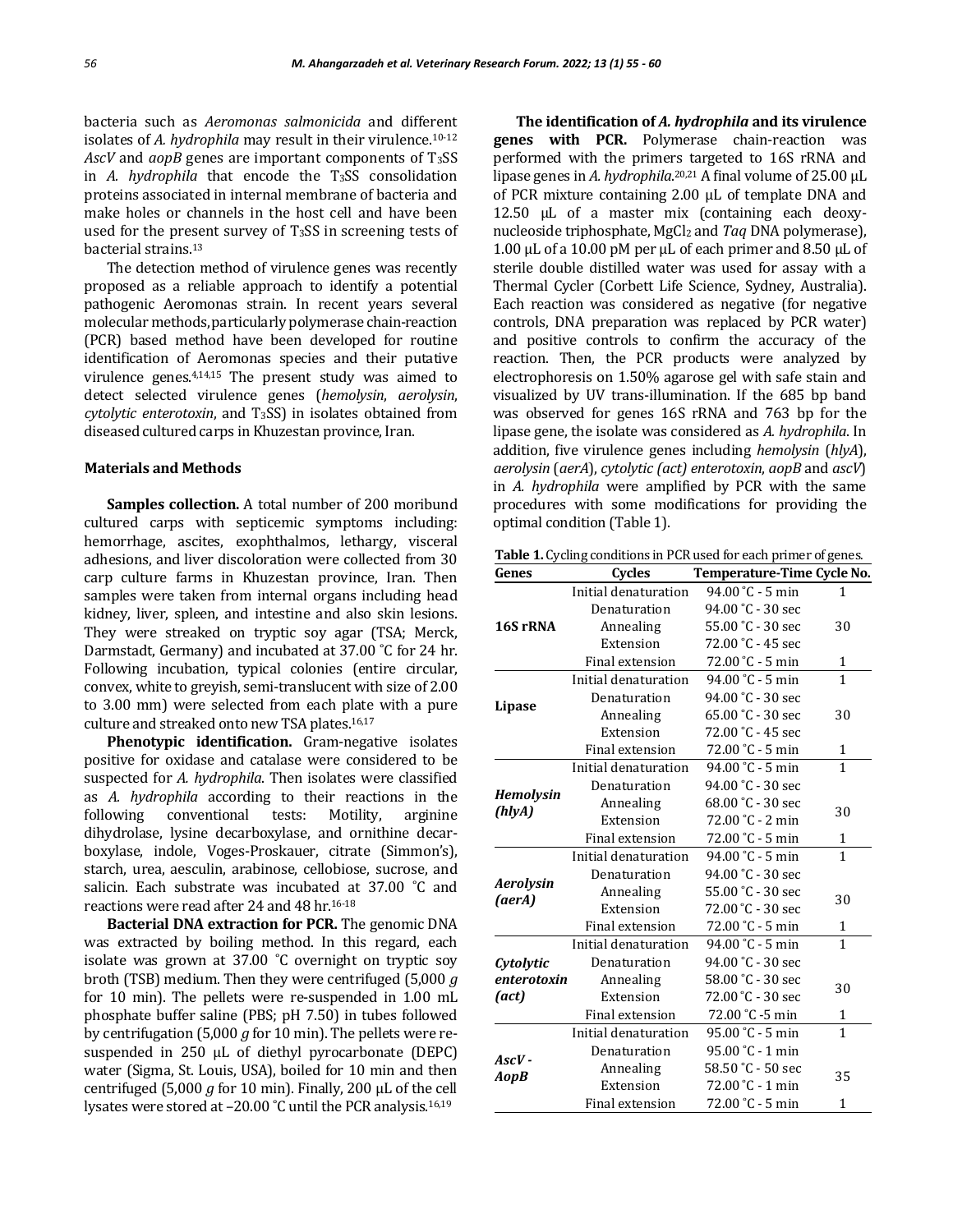bacteria such as *Aeromonas salmonicida* and different isolates of *A. hydrophila* may result in their virulence.<sup>10-12</sup> *AscV* and *aopB* genes are important components of T3SS in *A. hydrophila* that encode the T3SS consolidation proteins associated in internal membrane of bacteria and make holes or channels in the host cell and have been used for the present survey of T<sub>3</sub>SS in screening tests of bacterial strains.<sup>13</sup>

The detection method of virulence genes was recently proposed as a reliable approach to identify a potential pathogenic Aeromonas strain. In recent years several molecular methods, particularly polymerase chain-reaction (PCR) based method have been developed for routine identification of Aeromonas species and their putative virulence genes.4,14,15 The present study was aimed to detect selected virulence genes (*hemolysin*, *aerolysin*, *cytolytic enterotoxin*, and T3SS) in isolates obtained from diseased cultured carps in Khuzestan province, Iran.

#### **Materials and Methods**

**Samples collection.** A total number of 200 moribund cultured carps with septicemic symptoms including: hemorrhage, ascites, exophthalmos, lethargy, visceral adhesions, and liver discoloration were collected from 30 carp culture farms in Khuzestan province, Iran. Then samples were taken from internal organs including head kidney, liver, spleen, and intestine and also skin lesions. They were streaked on tryptic soy agar (TSA; Merck, Darmstadt, Germany) and incubated at 37.00 ˚C for 24 hr. Following incubation, typical colonies (entire circular, convex, white to greyish, semi-translucent with size of 2.00 to 3.00 mm) were selected from each plate with a pure culture and streaked onto new TSA plates.16,17

**Phenotypic identification.** Gram-negative isolates positive for oxidase and catalase were considered to be suspected for *A. hydrophila*. Then isolates were classified as *A. hydrophila* according to their reactions in the following conventional tests: Motility, arginine dihydrolase, lysine decarboxylase, and ornithine decarboxylase, indole, Voges-Proskauer, citrate (Simmon's), starch, urea, aesculin, arabinose, cellobiose, sucrose, and salicin. Each substrate was incubated at 37.00 ˚C and reactions were read after 24 and 48 hr.16-18

**Bacterial DNA extraction for PCR.** The genomic DNA was extracted by boiling method. In this regard, each isolate was grown at 37.00 ˚C overnight on tryptic soy broth (TSB) medium. Then they were centrifuged (5,000 *g* for 10 min). The pellets were re-suspended in 1.00 mL phosphate buffer saline (PBS; pH 7.50) in tubes followed by centrifugation (5,000 *g* for 10 min). The pellets were resuspended in 250 μL of diethyl pyrocarbonate (DEPC) water (Sigma, St. Louis, USA), boiled for 10 min and then centrifuged (5,000 *g* for 10 min). Finally, 200 μL of the cell lysates were stored at –20.00 ˚C until the PCR analysis.16,19

**The identification of** *A. hydrophila* **and its virulence genes with PCR.** Polymerase chain-reaction was performed with the primers targeted to 16S rRNA and lipase genes in *A. hydrophila*. 20,21 A final volume of 25.00 μL of PCR mixture containing 2.00 μL of template DNA and 12.50 μL of a master mix (containing each deoxynucleoside triphosphate, MgCl<sup>2</sup> and *Taq* DNA polymerase), 1.00 μL of a 10.00 pM per μL of each primer and 8.50 μL of sterile double distilled water was used for assay with a Thermal Cycler (Corbett Life Science, Sydney, Australia). Each reaction was considered as negative (for negative controls, DNA preparation was replaced by PCR water) and positive controls to confirm the accuracy of the reaction. Then, the PCR products were analyzed by electrophoresis on 1.50% agarose gel with safe stain and visualized by UV trans-illumination. If the 685 bp band was observed for genes 16S rRNA and 763 bp for the lipase gene, the isolate was considered as *A. hydrophila*. In addition, five virulence genes including *hemolysin* (*hlyA*), *aerolysin* (*aerA*), *cytolytic (act) enterotoxin*, *aopB* and *ascV*) in *A. hydrophila* were amplified by PCR with the same procedures with some modifications for providing the optimal condition (Table 1).

**Table 1.** Cycling conditions in PCR used for each primer of genes.

| Genes                                                                                                                     | <b>Cycles</b>        | Temperature-Time Cycle No. |              |  |
|---------------------------------------------------------------------------------------------------------------------------|----------------------|----------------------------|--------------|--|
| 16S rRNA                                                                                                                  | Initial denaturation | 94.00 °C - 5 min           | 1            |  |
|                                                                                                                           | Denaturation         | 94.00 °C - 30 sec          |              |  |
|                                                                                                                           | Annealing            | 55.00 °C - 30 sec          | 30           |  |
|                                                                                                                           | Extension            | 72.00 °C - 45 sec          |              |  |
|                                                                                                                           | Final extension      | 72.00 °C - 5 min           | 1            |  |
|                                                                                                                           | Initial denaturation | 94.00 °C - 5 min           | 1            |  |
|                                                                                                                           | Denaturation         | 94.00 °C - 30 sec          |              |  |
|                                                                                                                           | Annealing            | 65.00 °C - 30 sec          | 30           |  |
|                                                                                                                           | Extension            | 72.00 °C - 45 sec          |              |  |
|                                                                                                                           | Final extension      | 72.00 °C - 5 min           | 1            |  |
|                                                                                                                           | Initial denaturation | 94.00 °C - 5 min           | 1            |  |
|                                                                                                                           | Denaturation         | 94.00 °C - 30 sec          |              |  |
|                                                                                                                           | Annealing            | 68.00 °C - 30 sec          | 30           |  |
|                                                                                                                           | Extension            | 72.00 °C - 2 min           |              |  |
|                                                                                                                           | Final extension      | 72.00 °C - 5 min           | 1            |  |
|                                                                                                                           | Initial denaturation | $94.00 °C - 5$ min         | $\mathbf{1}$ |  |
|                                                                                                                           | Denaturation         | 94.00 °C - 30 sec          |              |  |
|                                                                                                                           | Annealing            | 55.00 °C - 30 sec          | 30           |  |
|                                                                                                                           | Extension            | 72.00 °C - 30 sec          |              |  |
| Lipase<br><b>Hemolysin</b><br>(hlyA)<br><b>Aerolysin</b><br>(aerA)<br>Cytolytic<br>enterotoxin<br>(act)<br>AscV -<br>AopB | Final extension      | 72.00 °C - 5 min           | 1            |  |
|                                                                                                                           | Initial denaturation | 94.00 °C - 5 min           | 1            |  |
|                                                                                                                           | Denaturation         | 94.00 °C - 30 sec          |              |  |
|                                                                                                                           | Annealing            | 58.00 °C - 30 sec          |              |  |
|                                                                                                                           | Extension            | 72.00 °C - 30 sec          | 30           |  |
|                                                                                                                           | Final extension      | 72.00 °C -5 min            | 1            |  |
|                                                                                                                           | Initial denaturation | 95.00 °C - 5 min           | 1            |  |
|                                                                                                                           | Denaturation         | 95.00 °C - 1 min           |              |  |
|                                                                                                                           | Annealing            | 58.50 °C - 50 sec          | 35           |  |
|                                                                                                                           | Extension            | 72.00 °C - 1 min           |              |  |
|                                                                                                                           | Final extension      | 72.00 °C - 5 min           | 1            |  |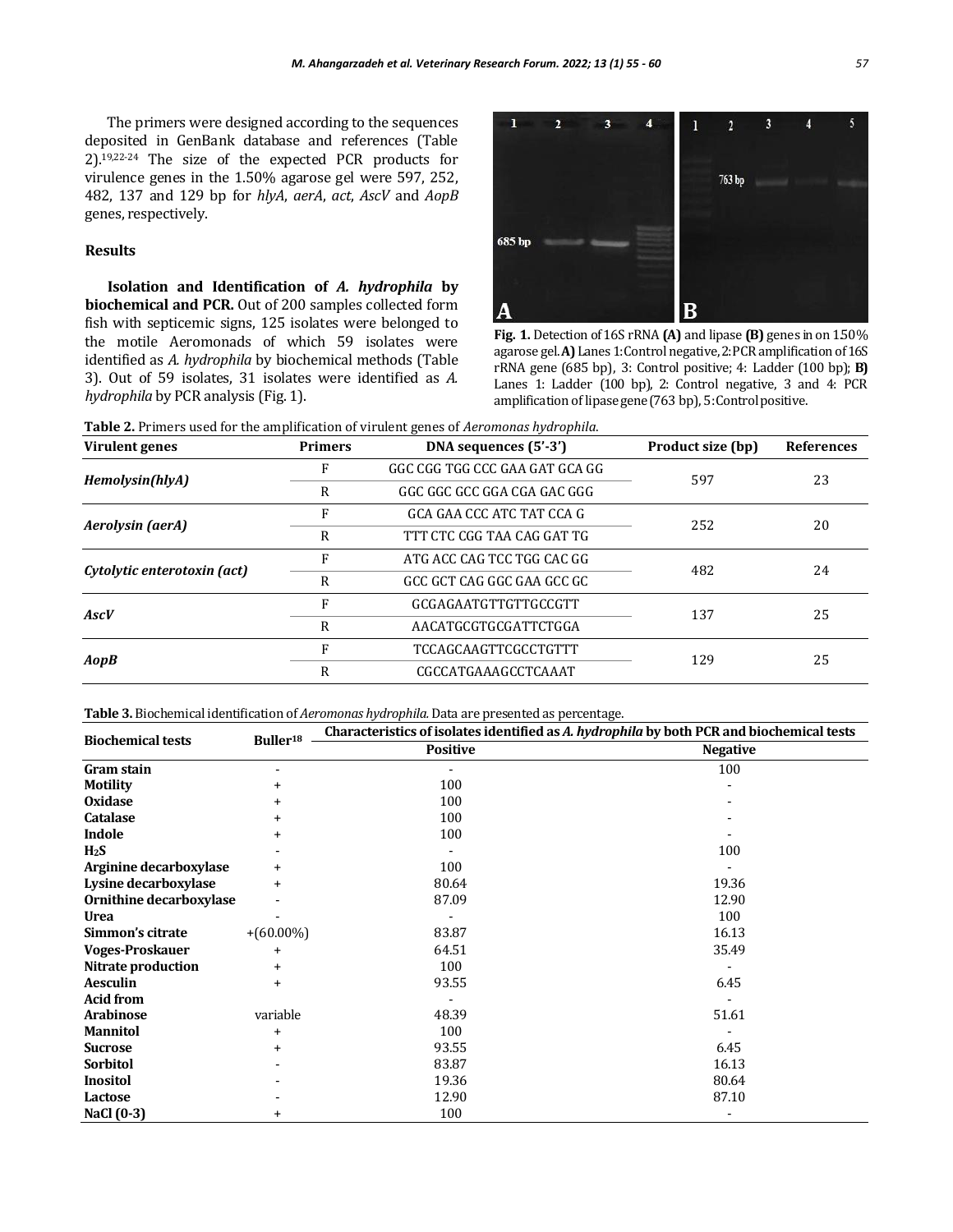The primers were designed according to the sequences deposited in GenBank database and references (Table 2).19,22-24 The size of the expected PCR products for virulence genes in the 1.50% agarose gel were 597, 252, 482, 137 and 129 bp for *hlyA*, *aerA*, *act*, *AscV* and *AopB* genes, respectively.

#### **Results**

**Isolation and Identification of** *A. hydrophila* **by biochemical and PCR.** Out of 200 samples collected form fish with septicemic signs, 125 isolates were belonged to the motile Aeromonads of which 59 isolates were identified as *A. hydrophila* by biochemical methods (Table 3). Out of 59 isolates, 31 isolates were identified as *A. hydrophila* by PCR analysis (Fig. 1).



**Fig. 1.** Detection of 16S rRNA **(A)** and lipase **(B)** genes in on 1.50% agarose gel. **A)** Lanes 1: Control negative, 2: PCR amplification of 16S rRNA gene (685 bp), 3: Control positive; 4: Ladder (100 bp); **B)**  Lanes 1: Ladder (100 bp), 2: Control negative, 3 and 4: PCR amplification of lipasegene(763 bp), 5: Controlpositive.

**Table 2.** Primers used for the amplification of virulent genes of *Aeromonas hydrophila*.

| Virulent genes              | <b>Primers</b> | DNA sequences (5'-3')          | Product size (bp) | <b>References</b> |
|-----------------------------|----------------|--------------------------------|-------------------|-------------------|
| Hemolysin(hlyA)             |                | GGC CGG TGG CCC GAA GAT GCA GG | 597               | 23                |
|                             | R              | GGC GGC GCC GGA CGA GAC GGG    |                   |                   |
| Aerolysin (aerA)            |                | GCA GAA CCC ATC TAT CCA G      | 252               | 20                |
|                             | R              | TTT CTC CGG TAA CAG GAT TG     |                   |                   |
| Cytolytic enterotoxin (act) | F              | ATG ACC CAG TCC TGG CAC GG     | 482               | 24                |
|                             | R              | GCC GCT CAG GGC GAA GCC GC     |                   |                   |
| AscV                        |                | GCGAGAATGTTGTTGCCGTT           | 137               | 25                |
|                             | R              | AACATGCGTGCGATTCTGGA           |                   |                   |
| AopB                        |                | <b>TCCAGCAAGTTCGCCTGTTT</b>    |                   | 25                |
|                             | R              | CGCCATGAAAGCCTCAAAT            | 129               |                   |

**Table 3.** Biochemical identification of *Aeromonas hydrophila.* Data are presented as percentage.

| <b>Biochemical tests</b> | Buller <sup>18</sup> | Characteristics of isolates identified as A. hydrophila by both PCR and biochemical tests |                 |  |
|--------------------------|----------------------|-------------------------------------------------------------------------------------------|-----------------|--|
|                          |                      | <b>Positive</b>                                                                           | <b>Negative</b> |  |
| Gram stain               |                      |                                                                                           | 100             |  |
| <b>Motility</b>          | $\ddot{}$            | 100                                                                                       |                 |  |
| <b>Oxidase</b>           | $\ddot{}$            | 100                                                                                       |                 |  |
| Catalase                 | +                    | 100                                                                                       |                 |  |
| Indole                   |                      | 100                                                                                       |                 |  |
| H <sub>2</sub> S         |                      |                                                                                           | 100             |  |
| Arginine decarboxylase   | $\ddot{}$            | 100                                                                                       |                 |  |
| Lysine decarboxylase     | $\ddot{}$            | 80.64                                                                                     | 19.36           |  |
| Ornithine decarboxylase  |                      | 87.09                                                                                     | 12.90           |  |
| <b>Urea</b>              |                      |                                                                                           | 100             |  |
| Simmon's citrate         | $+(60.00\%)$         | 83.87                                                                                     | 16.13           |  |
| <b>Voges-Proskauer</b>   | $\ddot{}$            | 64.51                                                                                     | 35.49           |  |
| Nitrate production       | $\ddot{}$            | 100                                                                                       |                 |  |
| <b>Aesculin</b>          | $\ddot{}$            | 93.55                                                                                     | 6.45            |  |
| <b>Acid from</b>         |                      |                                                                                           |                 |  |
| <b>Arabinose</b>         | variable             | 48.39                                                                                     | 51.61           |  |
| <b>Mannitol</b>          | $\ddot{}$            | 100                                                                                       |                 |  |
| <b>Sucrose</b>           | $\ddot{}$            | 93.55                                                                                     | 6.45            |  |
| Sorbitol                 |                      | 83.87                                                                                     | 16.13           |  |
| <b>Inositol</b>          |                      | 19.36                                                                                     | 80.64           |  |
| Lactose                  |                      | 12.90                                                                                     | 87.10           |  |
| NaCl (0-3)               | $\ddot{}$            | 100                                                                                       |                 |  |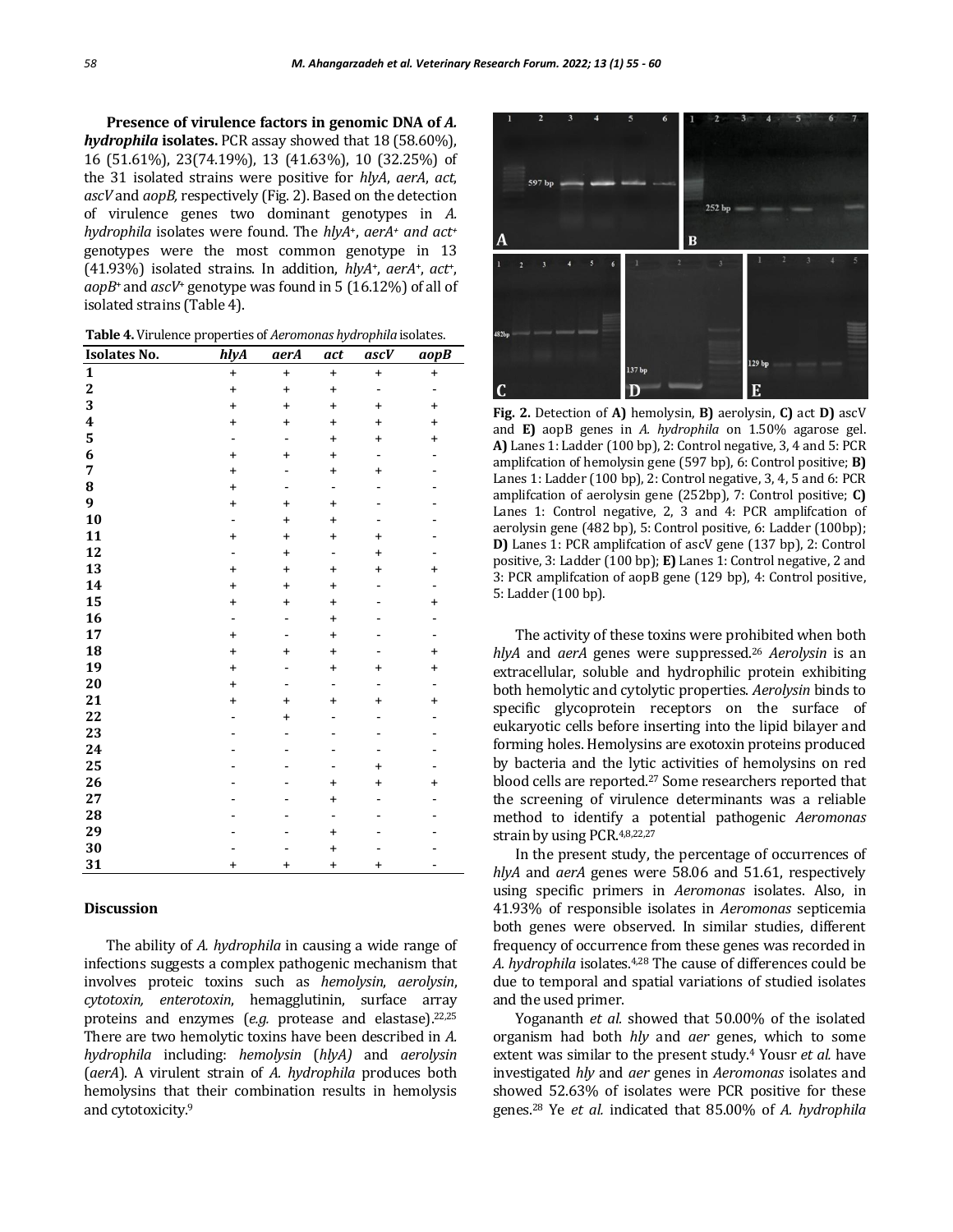Presence of virulence factors in genomic DNA of  $A$ . *hydrophila* **isolates.** PCR assay showed that 18 (58.60%), 16 (51.61%), 23(74.19%), 13 (41.63%), 10 (32.25%) of the 31 isolated strains were positive for *hlyA*, *aerA*, *act*, *ascV* and *aopB,* respectively (Fig. 2). Based on the detection of virulence genes two dominant genotypes in *A. hydrophila* isolates were found. The *hlyA*+, *aerA<sup>+</sup> and act<sup>+</sup>* genotypes were the most common genotype in 13 (41.93%) isolated strains. In addition, *hlyA*+, *aerA*+, *act*+, *aopB*+ and *ascV*<sup>+</sup> genotype was found in 5 (16.12%) of all of isolated strains (Table 4).

**Table 4.** Virulence properties of *Aeromonas hydrophila* isolates.

| <b>Isolates No.</b>     | hlyA           | aerA      | act                          | ascV                         | aopB                     |
|-------------------------|----------------|-----------|------------------------------|------------------------------|--------------------------|
| $\mathbf{1}$            | $\ddot{}$      | $\ddot{}$ | $\ddot{}$                    | $\ddot{}$                    | $\ddot{}$                |
| $\overline{\mathbf{2}}$ | $\ddot{}$      | $\ddot{}$ | $\ddot{}$                    | -                            | -                        |
| 3                       | $\ddot{}$      | $\ddot{}$ | $\ddot{}$                    | $\ddot{}$                    | $\ddot{}$                |
| 4                       | $\ddot{}$      | $\ddot{}$ | $\ddot{}$                    | $\ddot{}$                    | $\ddot{}$                |
| 5                       |                |           | $\ddot{}$                    | $\ddot{}$                    | $\ddot{}$                |
| 6                       | $\ddot{}$      | $\ddot{}$ | $\ddot{}$                    | ٠                            |                          |
| 7                       | $\ddot{}$      |           | $\ddot{}$                    | $\ddot{}$                    |                          |
| 8                       | $\ddot{}$      |           | -                            |                              |                          |
| 9                       | $\ddot{}$      | $\ddot{}$ | $\ddot{}$                    |                              |                          |
| 10                      |                | $\ddot{}$ | $\ddot{}$                    |                              |                          |
| 11                      | $\ddot{}$      | $\ddot{}$ | $\ddot{}$                    | $\ddot{}$                    |                          |
| 12                      | $\overline{a}$ | $\ddot{}$ | -                            | $\ddot{}$                    |                          |
| 13                      | $\ddot{}$      | $\ddot{}$ | $\ddot{}$                    | $\ddot{}$                    | $\ddot{}$                |
| 14                      | $\ddot{}$      | $\ddot{}$ | $\ddot{}$                    |                              | -                        |
| 15                      | $\ddot{}$      | $\ddot{}$ | $\ddot{}$                    |                              | $\ddot{}$                |
| 16                      |                |           | $\ddot{}$                    |                              |                          |
| 17                      | $\ddot{}$      |           | $\ddot{}$                    |                              |                          |
| 18                      | $\ddot{}$      | $\ddot{}$ | $\ddot{}$                    |                              | $\ddot{}$                |
| 19                      | $\ddot{}$      |           | $\ddot{}$                    | $\ddot{}$                    | $\ddot{}$                |
| 20                      | $\ddot{}$      |           | $\qquad \qquad \blacksquare$ | $\qquad \qquad \blacksquare$ | $\overline{\phantom{0}}$ |
| 21                      | $\ddot{}$      | $\pmb{+}$ | $\ddot{}$                    | $\pmb{+}$                    | $\ddot{}$                |
| 22                      |                | $\ddot{}$ |                              |                              |                          |
| 23                      |                |           |                              |                              |                          |
| 24                      |                |           |                              |                              |                          |
| 25                      |                |           |                              | $\ddot{}$                    |                          |
| 26                      |                |           | $\ddot{}$                    | $\ddot{}$                    | $\ddot{}$                |
| 27                      |                |           | $\ddot{}$                    |                              |                          |
| 28                      |                |           |                              |                              |                          |
| 29                      |                |           | $\ddot{}$                    |                              |                          |
| 30                      |                |           | $\ddot{}$                    |                              |                          |
| 31                      | $\ddot{}$      | $\ddot{}$ | $\ddot{}$                    | $\ddot{}$                    |                          |

#### **Discussion**

The ability of *A. hydrophila* in causing a wide range of infections suggests a complex pathogenic mechanism that involves proteic toxins such as *hemolysin*, *aerolysin*, *cytotoxin, enterotoxin*, hemagglutinin, surface array proteins and enzymes (*e.g.* protease and elastase).<sup>22,25</sup> There are two hemolytic toxins have been described in *A. hydrophila* including: *hemolysin* (*hlyA)* and *aerolysin* (*aerA*). A virulent strain of *A. hydrophila* produces both hemolysins that their combination results in hemolysis and cytotoxicity.<sup>9</sup>



**Fig. 2.** Detection of **A)** hemolysin, **B)** aerolysin, **C)** act **D)** ascV and **E)** aopB genes in *A. hydrophila* on 1.50% agarose gel. **A)** Lanes 1: Ladder (100 bp), 2: Control negative, 3, 4 and 5: PCR amplifcation of hemolysin gene (597 bp), 6: Control positive; **B)** Lanes 1: Ladder (100 bp), 2: Control negative, 3, 4, 5 and 6: PCR amplifcation of aerolysin gene (252bp), 7: Control positive; **C)** Lanes 1: Control negative, 2, 3 and 4: PCR amplifcation of aerolysin gene (482 bp), 5: Control positive, 6: Ladder (100bp); **D)** Lanes 1: PCR amplifcation of ascV gene (137 bp), 2: Control positive, 3: Ladder (100 bp); **E)** Lanes 1: Control negative, 2 and 3: PCR amplifcation of aopB gene (129 bp), 4: Control positive, 5: Ladder (100 bp).

The activity of these toxins were prohibited when both *hlyA* and *aerA* genes were suppressed.<sup>26</sup> *Aerolysin* is an extracellular, soluble and hydrophilic protein exhibiting both hemolytic and cytolytic properties. *Aerolysin* binds to specific glycoprotein receptors on the surface of eukaryotic cells before inserting into the lipid bilayer and forming holes. Hemolysins are exotoxin proteins produced by bacteria and the lytic activities of hemolysins on red blood cells are reported.<sup>27</sup> Some researchers reported that the screening of virulence determinants was a reliable method to identify a potential pathogenic *Aeromonas*  strain by using PCR.4,8,22,27

In the present study, the percentage of occurrences of *hlyA* and *aerA* genes were 58.06 and 51.61, respectively using specific primers in *Aeromonas* isolates. Also, in 41.93% of responsible isolates in *Aeromonas* septicemia both genes were observed. In similar studies, different frequency of occurrence from these genes was recorded in *A. hydrophila* isolates.4,28 The cause of differences could be due to temporal and spatial variations of studied isolates and the used primer.

Yogananth *et al.* showed that 50.00% of the isolated organism had both *hly* and *aer* genes, which to some extent was similar to the present study.<sup>4</sup> Yousr *et al.* have investigated *hly* and *aer* genes in *Aeromonas* isolates and showed 52.63% of isolates were PCR positive for these genes.<sup>28</sup> Ye *et al.* indicated that 85.00% of *A. hydrophila*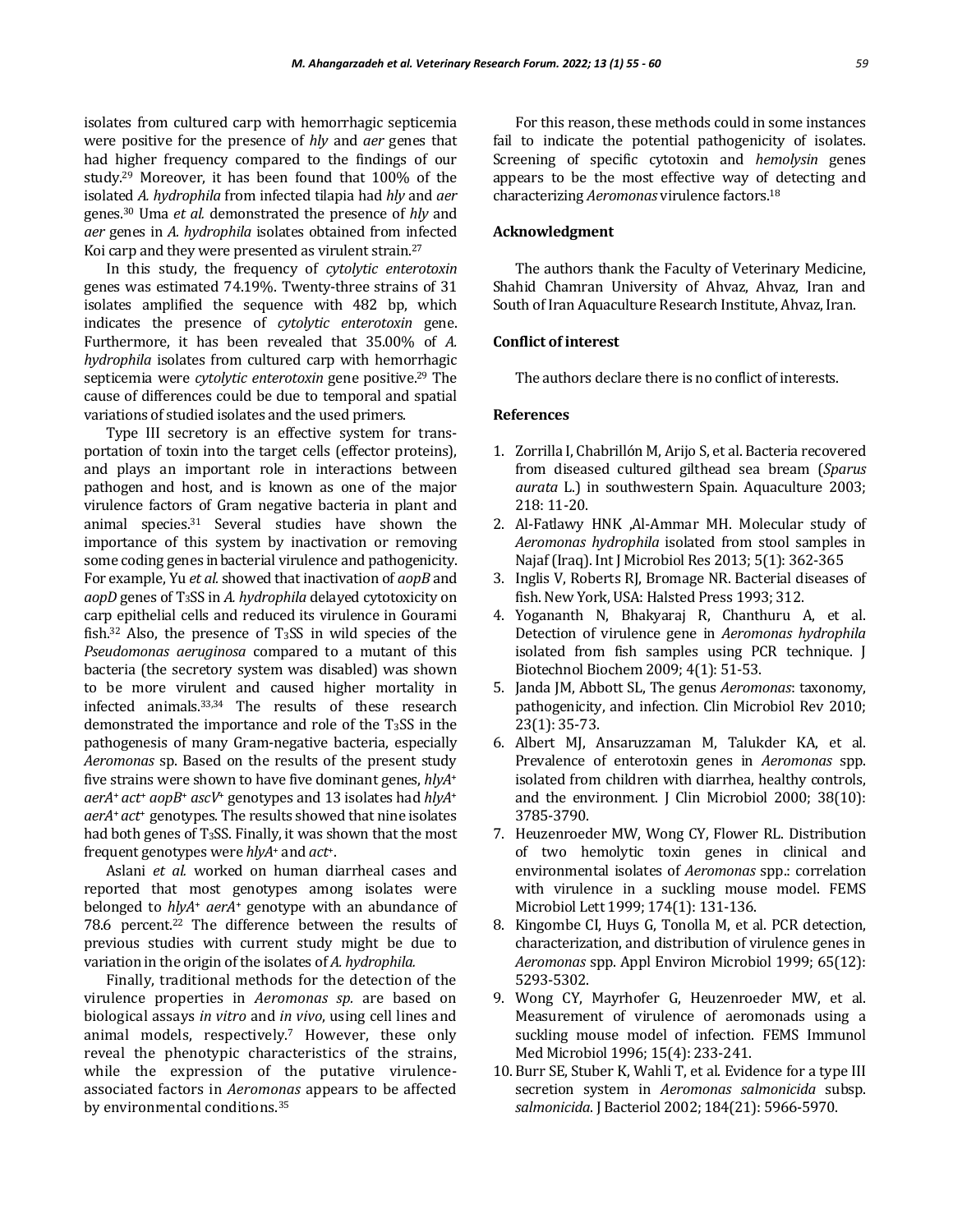isolates from cultured carp with hemorrhagic septicemia were positive for the presence of *hly* and *aer* genes that had higher frequency compared to the findings of our study.<sup>29</sup> Moreover, it has been found that 100% of the isolated *A. hydrophila* from infected tilapia had *hly* and *aer*  genes.<sup>30</sup> Uma *et al.* demonstrated the presence of *hly* and *aer* genes in *A. hydrophila* isolates obtained from infected Koi carp and they were presented as virulent strain.<sup>27</sup>

In this study, the frequency of *cytolytic enterotoxin* genes was estimated 74.19%. Twenty-three strains of 31 isolates amplified the sequence with 482 bp, which indicates the presence of *cytolytic enterotoxin* gene. Furthermore, it has been revealed that 35.00% of *A. hydrophila* isolates from cultured carp with hemorrhagic septicemia were *cytolytic enterotoxin* gene positive.<sup>29</sup> The cause of differences could be due to temporal and spatial variations of studied isolates and the used primers.

Type III secretory is an effective system for transportation of toxin into the target cells (effector proteins), and plays an important role in interactions between pathogen and host, and is known as one of the major virulence factors of Gram negative bacteria in plant and animal species.<sup>31</sup> Several studies have shown the importance of this system by inactivation or removing some coding genes in bacterial virulence and pathogenicity. For example, Yu *et al.* showed that inactivation of *aopB* and *aopD* genes of T3SS in *A. hydrophila* delayed cytotoxicity on carp epithelial cells and reduced its virulence in Gourami fish.<sup>32</sup> Also, the presence of T3SS in wild species of the *Pseudomonas aeruginosa* compared to a mutant of this bacteria (the secretory system was disabled) was shown to be more virulent and caused higher mortality in infected animals.33,34 The results of these research demonstrated the importance and role of the T3SS in the pathogenesis of many Gram-negative bacteria, especially *Aeromonas* sp. Based on the results of the present study five strains were shown to have five dominant genes, *hlyA*<sup>+</sup> *aerA*+ *act*<sup>+</sup> *aopB*<sup>+</sup> *ascV*<sup>+</sup> genotypes and 13 isolates had *hlyA*<sup>+</sup> *aerA*+ *act*<sup>+</sup> genotypes. The results showed that nine isolates had both genes of T3SS. Finally, it was shown that the most frequent genotypes were *hlyA*<sup>+</sup> and *act*+.

Aslani *et al.* worked on human diarrheal cases and reported that most genotypes among isolates were belonged to *hlyA*<sup>+</sup> *aerA*<sup>+</sup> genotype with an abundance of 78.6 percent.<sup>22</sup> The difference between the results of previous studies with current study might be due to variation in the origin of the isolates of *A. hydrophila.*

Finally, traditional methods for the detection of the virulence properties in *Aeromonas sp.* are based on biological assays *in vitro* and *in vivo*, using cell lines and animal models, respectively.<sup>7</sup> However, these only reveal the phenotypic characteristics of the strains, while the expression of the putative virulenceassociated factors in *Aeromonas* appears to be affected by environmental conditions.<sup>35</sup>

For this reason, these methods could in some instances fail to indicate the potential pathogenicity of isolates. Screening of specific cytotoxin and *hemolysin* genes appears to be the most effective way of detecting and characterizing *Aeromonas* virulence factors.<sup>18</sup>

# **Acknowledgment**

The authors thank the Faculty of Veterinary Medicine, Shahid Chamran University of Ahvaz, Ahvaz, Iran and South of Iran Aquaculture Research Institute, Ahvaz, Iran.

## **Conflict of interest**

The authors declare there is no conflict of interests.

#### **References**

- 1. Zorrilla I, Chabrillón M, Arijo S, et al. Bacteria recovered from diseased cultured gilthead sea bream (*Sparus aurata* L.) in southwestern Spain. Aquaculture 2003; 218: 11-20.
- 2. Al-Fatlawy HNK ,Al-Ammar MH. Molecular study of *Aeromonas hydrophila* isolated from stool samples in Najaf (Iraq). Int J Microbiol Res 2013; 5(1): 362-365
- 3. Inglis V, Roberts RJ, Bromage NR. Bacterial diseases of fish. New York, USA: Halsted Press 1993; 312.
- 4. Yogananth N, Bhakyaraj R, Chanthuru A, et al. Detection of virulence gene in *Aeromonas hydrophila* isolated from fish samples using PCR technique. J Biotechnol Biochem 2009; 4(1): 51-53.
- 5. Janda JM, Abbott SL, The genus *Aeromonas*: taxonomy, pathogenicity, and infection. Clin Microbiol Rev 2010; 23(1): 35-73.
- 6. Albert MJ, Ansaruzzaman M, Talukder KA, et al. Prevalence of enterotoxin genes in *Aeromonas* spp. isolated from children with diarrhea, healthy controls, and the environment. J Clin Microbiol 2000; 38(10): 3785-3790.
- 7. Heuzenroeder MW, Wong CY, Flower RL. Distribution of two hemolytic toxin genes in clinical and environmental isolates of *Aeromonas* spp.: correlation with virulence in a suckling mouse model. FEMS Microbiol Lett 1999; 174(1): 131-136.
- 8. Kingombe CI, Huys G, Tonolla M, et al. PCR detection, characterization, and distribution of virulence genes in *Aeromonas* spp. Appl Environ Microbiol 1999; 65(12): 5293-5302.
- 9. Wong CY, Mayrhofer G, Heuzenroeder MW, et al. Measurement of virulence of aeromonads using a suckling mouse model of infection. FEMS Immunol Med Microbiol 1996; 15(4): 233-241.
- 10. Burr SE, Stuber K, Wahli T, et al. Evidence for a type III secretion system in *Aeromonas salmonicida* subsp. *salmonicida*. J Bacteriol 2002; 184(21): 5966-5970.